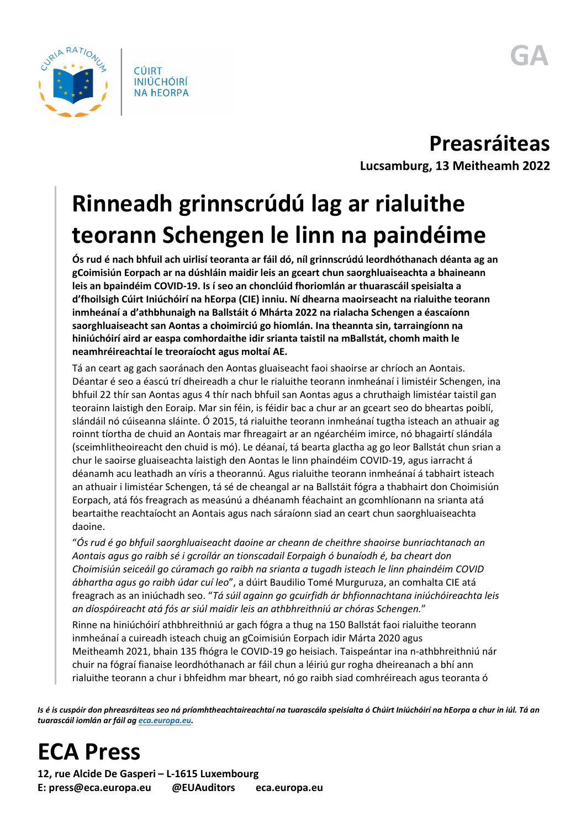

**Preasráiteas**

**Lucsamburg, 13 Meitheamh 2022**

## **Rinneadh grinnscrúdú lag ar rialuithe teorann Schengen le linn na paindéime**

**Ós rud é nach bhfuil ach uirlisí teoranta ar fáil dó, níl grinnscrúdú leordhóthanach déanta ag an gCoimisiún Eorpach ar na dúshláin maidir leis an gceart chun saorghluaiseachta a bhaineann leis an bpaindéim COVID-19. Is í seo an chonclúid fhoriomlán ar thuarascáil speisialta a d'fhoilsigh Cúirt Iniúchóirí na hEorpa (CIE) inniu. Ní dhearna maoirseacht na rialuithe teorann inmheánaí a d'athbhunaigh na Ballstáit ó Mhárta 2022 na rialacha Schengen a éascaíonn saorghluaiseacht san Aontas a choimirciú go hiomlán. Ina theannta sin, tarraingíonn na hiniúchóirí aird ar easpa comhordaithe idir srianta taistil na mBallstát, chomh maith le neamhréireachtaí le treoraíocht agus moltaí AE.**

Tá an ceart ag gach saoránach den Aontas gluaiseacht faoi shaoirse ar chríoch an Aontais. Déantar é seo a éascú trí dheireadh a chur le rialuithe teorann inmheánaí i limistéir Schengen, ina bhfuil 22 thír san Aontas agus 4 thír nach bhfuil san Aontas agus a chruthaigh limistéar taistil gan teorainn laistigh den Eoraip. Mar sin féin, is féidir bac a chur ar an gceart seo do bheartas poiblí, slándáil nó cúiseanna sláinte. Ó 2015, tá rialuithe teorann inmheánaí tugtha isteach an athuair ag roinnt tíortha de chuid an Aontais mar fhreagairt ar an ngéarchéim imirce, nó bhagairtí slándála (sceimhlitheoireacht den chuid is mó). Le déanaí, tá bearta glactha ag go leor Ballstát chun srian a chur le saoirse gluaiseachta laistigh den Aontas le linn phaindéim COVID-19, agus iarracht á déanamh acu leathadh an víris a theorannú. Agus rialuithe teorann inmheánaí á tabhairt isteach an athuair i limistéar Schengen, tá sé de cheangal ar na Ballstáit fógra a thabhairt don Choimisiún Eorpach, atá fós freagrach as measúnú a dhéanamh féachaint an gcomhlíonann na srianta atá beartaithe reachtaíocht an Aontais agus nach sáraíonn siad an ceart chun saorghluaiseachta daoine.

"*Ós rud é go bhfuil saorghluaiseacht daoine ar cheann de cheithre shaoirse bunriachtanach an Aontais agus go raibh sé i gcroílár an tionscadail Eorpaigh ó bunaíodh é, ba cheart don Choimisiún seiceáil go cúramach go raibh na srianta a tugadh isteach le linn phaindéim COVID ábhartha agus go raibh údar cuí leo*", a dúirt Baudilio Tomé Murguruza, an comhalta CIE atá freagrach as an iniúchadh seo. "*Tá súil againn go gcuirfidh ár bhfionnachtana iniúchóireachta leis an díospóireacht atá fós ar siúl maidir leis an athbhreithniú ar chóras Schengen.*"

Rinne na hiniúchóirí athbhreithniú ar gach fógra a thug na 150 Ballstát faoi rialuithe teorann inmheánaí a cuireadh isteach chuig an gCoimisiún Eorpach idir Márta 2020 agus Meitheamh 2021, bhain 135 fhógra le COVID-19 go heisiach. Taispeántar ina n-athbhreithniú nár chuir na fógraí fianaise leordhóthanach ar fáil chun a léiriú gur rogha dheireanach a bhí ann rialuithe teorann a chur i bhfeidhm mar bheart, nó go raibh siad comhréireach agus teoranta ó

*Is é is cuspóir don phreasráiteas seo ná príomhtheachtaireachtaí na tuarascála speisialta ó Chúirt Iniúchóirí na hEorpa a chur in iúl. Tá an tuarascáil iomlán ar fáil a[g eca.europa.eu.](https://www.eca.europa.eu/)* 

## **ECA Press**

**12, rue Alcide De Gasperi – L-1615 Luxembourg E: press@eca.europa.eu @EUAuditors eca.europa.eu**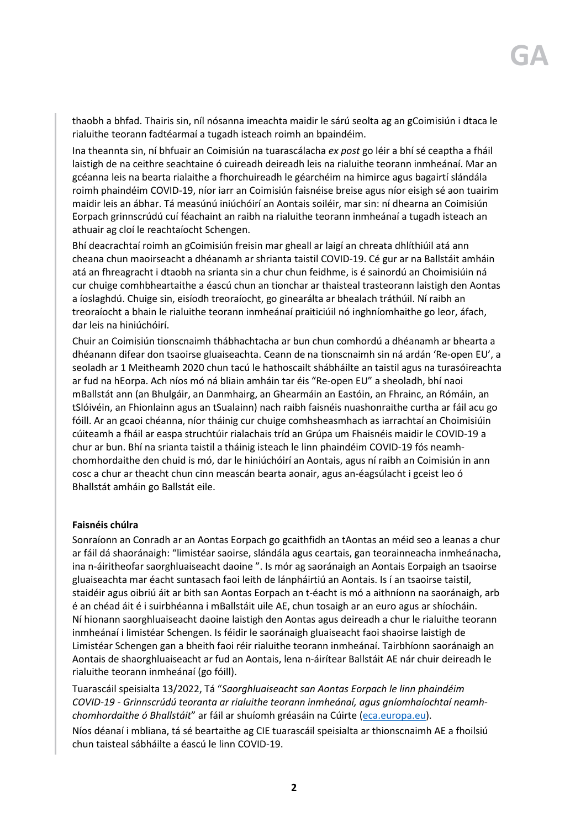thaobh a bhfad. Thairis sin, níl nósanna imeachta maidir le sárú seolta ag an gCoimisiún i dtaca le rialuithe teorann fadtéarmaí a tugadh isteach roimh an bpaindéim.

Ina theannta sin, ní bhfuair an Coimisiún na tuarascálacha *ex post* go léir a bhí sé ceaptha a fháil laistigh de na ceithre seachtaine ó cuireadh deireadh leis na rialuithe teorann inmheánaí. Mar an gcéanna leis na bearta rialaithe a fhorchuireadh le géarchéim na himirce agus bagairtí slándála roimh phaindéim COVID-19, níor iarr an Coimisiún faisnéise breise agus níor eisigh sé aon tuairim maidir leis an ábhar. Tá measúnú iniúchóirí an Aontais soiléir, mar sin: ní dhearna an Coimisiún Eorpach grinnscrúdú cuí féachaint an raibh na rialuithe teorann inmheánaí a tugadh isteach an athuair ag cloí le reachtaíocht Schengen.

Bhí deacrachtaí roimh an gCoimisiún freisin mar gheall ar laigí an chreata dhlíthiúil atá ann cheana chun maoirseacht a dhéanamh ar shrianta taistil COVID-19. Cé gur ar na Ballstáit amháin atá an fhreagracht i dtaobh na srianta sin a chur chun feidhme, is é sainordú an Choimisiúin ná cur chuige comhbheartaithe a éascú chun an tionchar ar thaisteal trasteorann laistigh den Aontas a íoslaghdú. Chuige sin, eisíodh treoraíocht, go ginearálta ar bhealach tráthúil. Ní raibh an treoraíocht a bhain le rialuithe teorann inmheánaí praiticiúil nó inghníomhaithe go leor, áfach, dar leis na hiniúchóirí.

Chuir an Coimisiún tionscnaimh thábhachtacha ar bun chun comhordú a dhéanamh ar bhearta a dhéanann difear don tsaoirse gluaiseachta. Ceann de na tionscnaimh sin ná ardán 'Re-open EU', a seoladh ar 1 Meitheamh 2020 chun tacú le hathoscailt shábháilte an taistil agus na turasóireachta ar fud na hEorpa. Ach níos mó ná bliain amháin tar éis "Re-open EU" a sheoladh, bhí naoi mBallstát ann (an Bhulgáir, an Danmhairg, an Ghearmáin an Eastóin, an Fhrainc, an Rómáin, an tSlóivéin, an Fhionlainn agus an tSualainn) nach raibh faisnéis nuashonraithe curtha ar fáil acu go fóill. Ar an gcaoi chéanna, níor tháinig cur chuige comhsheasmhach as iarrachtaí an Choimisiúin cúiteamh a fháil ar easpa struchtúir rialachais tríd an Grúpa um Fhaisnéis maidir le COVID-19 a chur ar bun. Bhí na srianta taistil a tháinig isteach le linn phaindéim COVID-19 fós neamhchomhordaithe den chuid is mó, dar le hiniúchóirí an Aontais, agus ní raibh an Coimisiún in ann cosc a chur ar theacht chun cinn meascán bearta aonair, agus an-éagsúlacht i gceist leo ó Bhallstát amháin go Ballstát eile.

## **Faisnéis chúlra**

Sonraíonn an Conradh ar an Aontas Eorpach go gcaithfidh an tAontas an méid seo a leanas a chur ar fáil dá shaoránaigh: "limistéar saoirse, slándála agus ceartais, gan teorainneacha inmheánacha, ina n-áiritheofar saorghluaiseacht daoine ". Is mór ag saoránaigh an Aontais Eorpaigh an tsaoirse gluaiseachta mar éacht suntasach faoi leith de lánpháirtiú an Aontais. Is í an tsaoirse taistil, staidéir agus oibriú áit ar bith san Aontas Eorpach an t-éacht is mó a aithníonn na saoránaigh, arb é an chéad áit é i suirbhéanna i mBallstáit uile AE, chun tosaigh ar an euro agus ar shíocháin. Ní hionann saorghluaiseacht daoine laistigh den Aontas agus deireadh a chur le rialuithe teorann inmheánaí i limistéar Schengen. Is féidir le saoránaigh gluaiseacht faoi shaoirse laistigh de Limistéar Schengen gan a bheith faoi réir rialuithe teorann inmheánaí. Tairbhíonn saoránaigh an Aontais de shaorghluaiseacht ar fud an Aontais, lena n-áirítear Ballstáit AE nár chuir deireadh le rialuithe teorann inmheánaí (go fóill).

Tuarascáil speisialta 13/2022, Tá "*Saorghluaiseacht san Aontas Eorpach le linn phaindéim COVID-19 - Grinnscrúdú teoranta ar rialuithe teorann inmheánaí, agus gníomhaíochtaí neamhchomhordaithe ó Bhallstáit*" ar fáil ar shuíomh gréasáin na Cúirte [\(eca.europa.eu\)](https://www.eca.europa.eu/ga/Pages/ecadefault.aspx).

Níos déanaí i mbliana, tá sé beartaithe ag CIE tuarascáil speisialta ar thionscnaimh AE a fhoilsiú chun taisteal sábháilte a éascú le linn COVID-19.